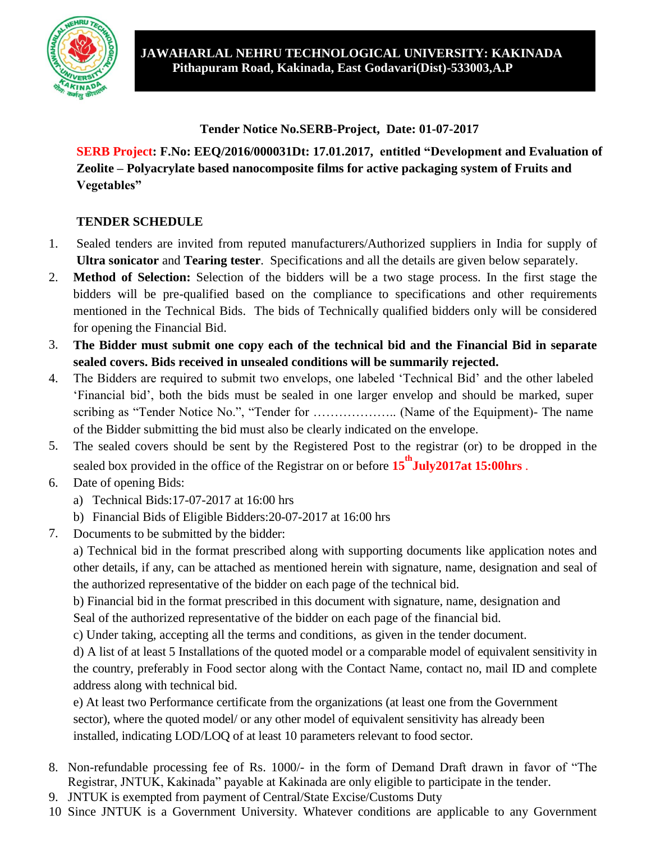

**Tender Notice No.SERB-Project, Date: 01-07-2017**

**SERB Project: F.No: EEQ/2016/000031Dt: 17.01.2017, entitled "Development and Evaluation of Zeolite – Polyacrylate based nanocomposite films for active packaging system of Fruits and Vegetables"**

### **TENDER SCHEDULE**

- 1. Sealed tenders are invited from reputed manufacturers/Authorized suppliers in India for supply of **Ultra sonicator** and **Tearing tester**. Specifications and all the details are given below separately.
- 2. **Method of Selection:** Selection of the bidders will be a two stage process. In the first stage the bidders will be pre-qualified based on the compliance to specifications and other requirements mentioned in the Technical Bids. The bids of Technically qualified bidders only will be considered for opening the Financial Bid.
- 3. **The Bidder must submit one copy each of the technical bid and the Financial Bid in separate sealed covers. Bids received in unsealed conditions will be summarily rejected.**
- 4. The Bidders are required to submit two envelops, one labeled "Technical Bid" and the other labeled "Financial bid", both the bids must be sealed in one larger envelop and should be marked, super scribing as "Tender Notice No.", "Tender for ……………….. (Name of the Equipment)- The name of the Bidder submitting the bid must also be clearly indicated on the envelope.
- 5. The sealed covers should be sent by the Registered Post to the registrar (or) to be dropped in the sealed box provided in the office of the Registrar on or before **15 th July2017at 15:00hrs** .
- 6. Date of opening Bids:
	- a) Technical Bids:17-07-2017 at 16:00 hrs
	- b) Financial Bids of Eligible Bidders:20-07-2017 at 16:00 hrs
- 7. Documents to be submitted by the bidder:

a) Technical bid in the format prescribed along with supporting documents like application notes and other details, if any, can be attached as mentioned herein with signature, name, designation and seal of the authorized representative of the bidder on each page of the technical bid.

b) Financial bid in the format prescribed in this document with signature, name, designation and Seal of the authorized representative of the bidder on each page of the financial bid.

c) Under taking, accepting all the terms and conditions, as given in the tender document.

d) A list of at least 5 Installations of the quoted model or a comparable model of equivalent sensitivity in the country, preferably in Food sector along with the Contact Name, contact no, mail ID and complete address along with technical bid.

e) At least two Performance certificate from the organizations (at least one from the Government sector), where the quoted model/ or any other model of equivalent sensitivity has already been installed, indicating LOD/LOQ of at least 10 parameters relevant to food sector.

- 8. Non-refundable processing fee of Rs. 1000/- in the form of Demand Draft drawn in favor of "The Registrar, JNTUK, Kakinada" payable at Kakinada are only eligible to participate in the tender.
- 9. JNTUK is exempted from payment of Central/State Excise/Customs Duty
- 10. Since JNTUK is a Government University. Whatever conditions are applicable to any Government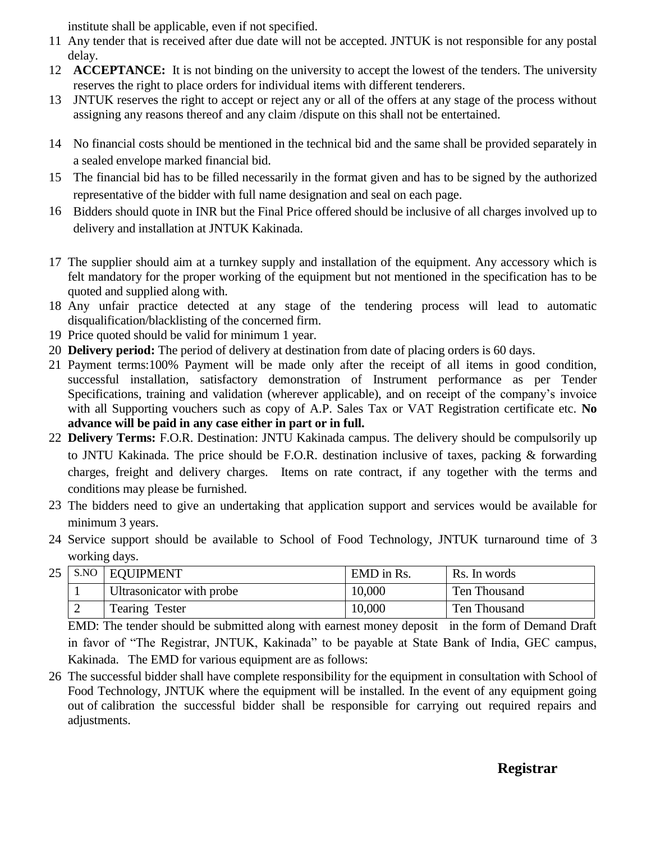institute shall be applicable, even if not specified.

- 11. Any tender that is received after due date will not be accepted. JNTUK is not responsible for any postal delay.
- 12. **ACCEPTANCE:** It is not binding on the university to accept the lowest of the tenders. The university reserves the right to place orders for individual items with different tenderers.
- 13. JNTUK reserves the right to accept or reject any or all of the offers at any stage of the process without assigning any reasons thereof and any claim /dispute on this shall not be entertained.
- 14. No financial costs should be mentioned in the technical bid and the same shall be provided separately in a sealed envelope marked financial bid.
- 15. The financial bid has to be filled necessarily in the format given and has to be signed by the authorized representative of the bidder with full name designation and seal on each page.
- 16. Bidders should quote in INR but the Final Price offered should be inclusive of all charges involved up to delivery and installation at JNTUK Kakinada.
- 17. The supplier should aim at a turnkey supply and installation of the equipment. Any accessory which is felt mandatory for the proper working of the equipment but not mentioned in the specification has to be quoted and supplied along with.
- 18. Any unfair practice detected at any stage of the tendering process will lead to automatic disqualification/blacklisting of the concerned firm.
- 19. Price quoted should be valid for minimum 1 year.
- 20. **Delivery period:** The period of delivery at destination from date of placing orders is 60 days.
- 21. Payment terms:100% Payment will be made only after the receipt of all items in good condition, successful installation, satisfactory demonstration of Instrument performance as per Tender Specifications, training and validation (wherever applicable), and on receipt of the company's invoice with all Supporting vouchers such as copy of A.P. Sales Tax or VAT Registration certificate etc. **No advance will be paid in any case either in part or in full.**
- 22. **Delivery Terms:** F.O.R. Destination: JNTU Kakinada campus. The delivery should be compulsorily up to JNTU Kakinada. The price should be F.O.R. destination inclusive of taxes, packing & forwarding charges, freight and delivery charges. Items on rate contract, if any together with the terms and conditions may please be furnished.
- 23. The bidders need to give an undertaking that application support and services would be available for minimum 3 years.
- 24. Service support should be available to School of Food Technology, JNTUK turnaround time of 3 working days.

|   | 25 S.NO EQUIPMENT         | EMD in Rs. | Rs. In words |
|---|---------------------------|------------|--------------|
|   | Ultrasonicator with probe | 10,000     | Ten Thousand |
| ∸ | <b>Tearing Tester</b>     | 10,000     | Ten Thousand |

EMD: The tender should be submitted along with earnest money deposit in the form of Demand Draft in favor of "The Registrar, JNTUK, Kakinada" to be payable at State Bank of India, GEC campus, Kakinada. The EMD for various equipment are as follows:

26. The successful bidder shall have complete responsibility for the equipment in consultation with School of Food Technology, JNTUK where the equipment will be installed. In the event of any equipment going out of calibration the successful bidder shall be responsible for carrying out required repairs and adjustments.